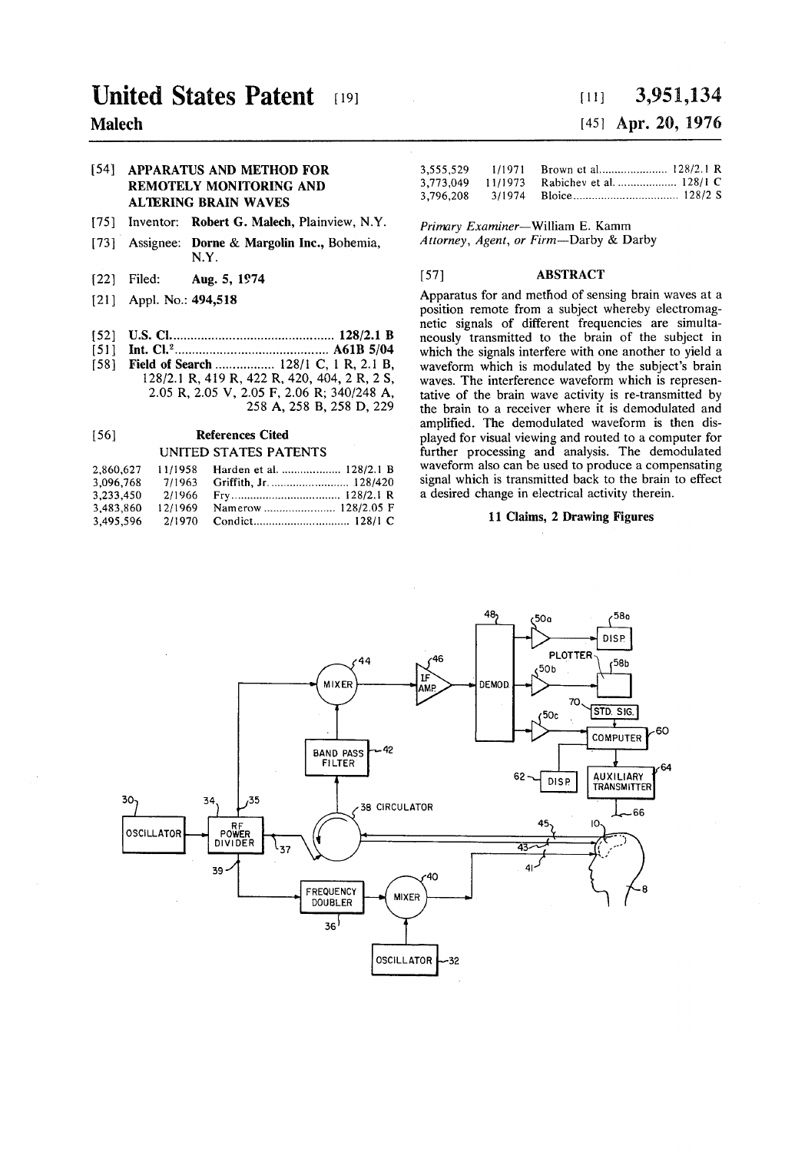## Malech

#### (54) APPARATUS AND METHOD FOR REMOTELY MONITORING AND ALTERING BRAN WAVES

- 75) Robert G. Malech, Plainview, N.Y. Inventor:
- 73] Assignee: Dorne & Margolin Inc., Bohemia, N.Y.
- [22] Filed: Aug. 5, 1974
- 21 ) Appl. No.: 494,518
- (52) U.S. Cl............................................... 128/2.1 B
- 51 58) Int. Cl.'............................................ A61 B 5/04 Field of Search................. 128/l C, 1 R, 2.1 B, 128/2. 1 R, 419 R, 422 R, 420, 404, 2 R, 2 S, 2.05 R, 2.05 V, 2.05 F, 2.06 R; 340,248 A, 258 A, 258 B, 258 D, 229

#### 56) References Cited UNITED STATES PATENTS

| 2.860.627<br>3.096.768 | 11/1958<br>7/1963 | Harden et al.  128/2.1 B |
|------------------------|-------------------|--------------------------|
| 3.233.450              | 2/1966            |                          |
| 3.483.860              | 12/1969           |                          |
| 3.495.596              | 2/1970            |                          |

# $[11]$  3,951,134 [45] Apr. 20, 1976

| 3.555.529 | 1/1971 | Brown et al 128/2.1 R               |
|-----------|--------|-------------------------------------|
| 3.773.049 |        | 11/1973 Rabichev et al.     128/1 C |
| 3.796,208 |        |                                     |

Primary Examiner-William E. Kamm Attorney, Agent, or Firm-Darby & Darby

#### (57) ABSTRACT

Apparatus for and method of sensing brain waves at a position remote from a subject whereby electromagnetic signals of different frequencies are simultaneously transmitted to the brain of the subject in which the signals interfere with one another to yield a waveform which is modulated by the subject's brain waves. The interference waveform which is representative of the brain wave activity is re-transmitted by the brain to a receiver where it is demodulated and amplified. The demodulated waveform is then dis played for visual viewing and routed to a computer for further processing and analysis. The demodulated waveform also can be used to produce a compensating signal which is transmitted back to the brain to effect a desired change in electrical activity therein.

#### 11 Claims, 2 Drawing Figures

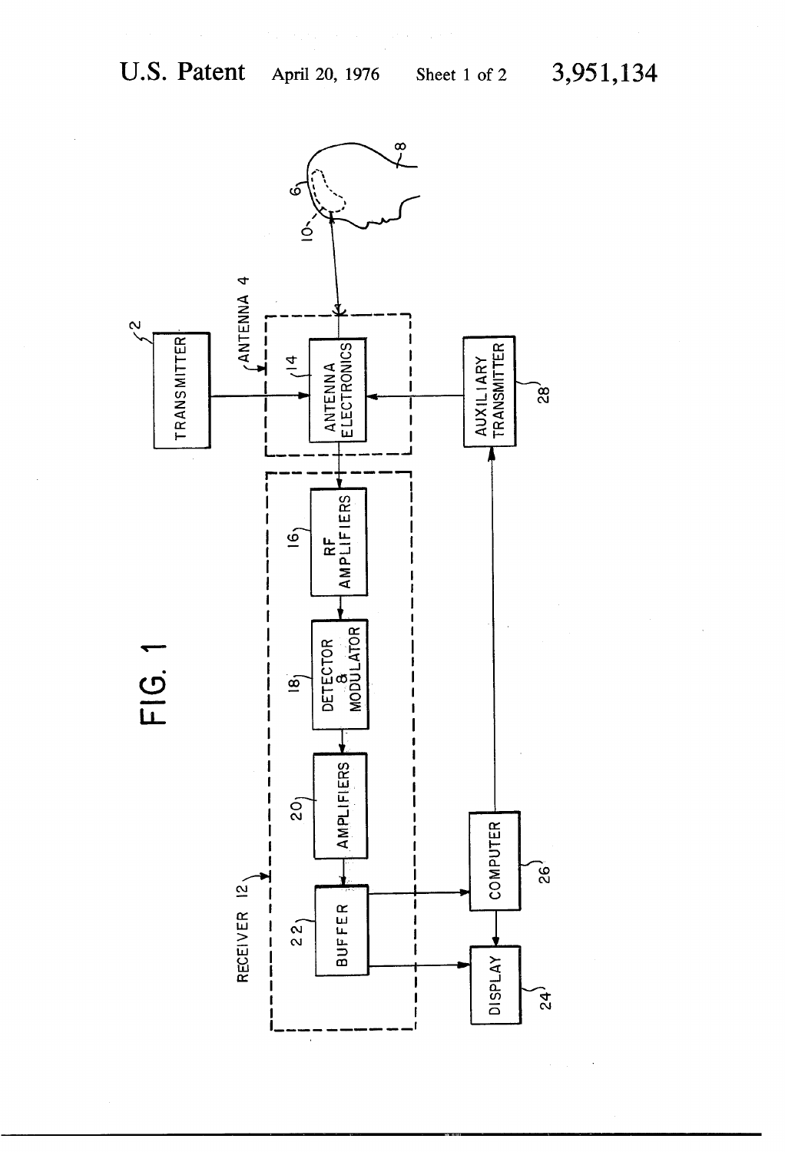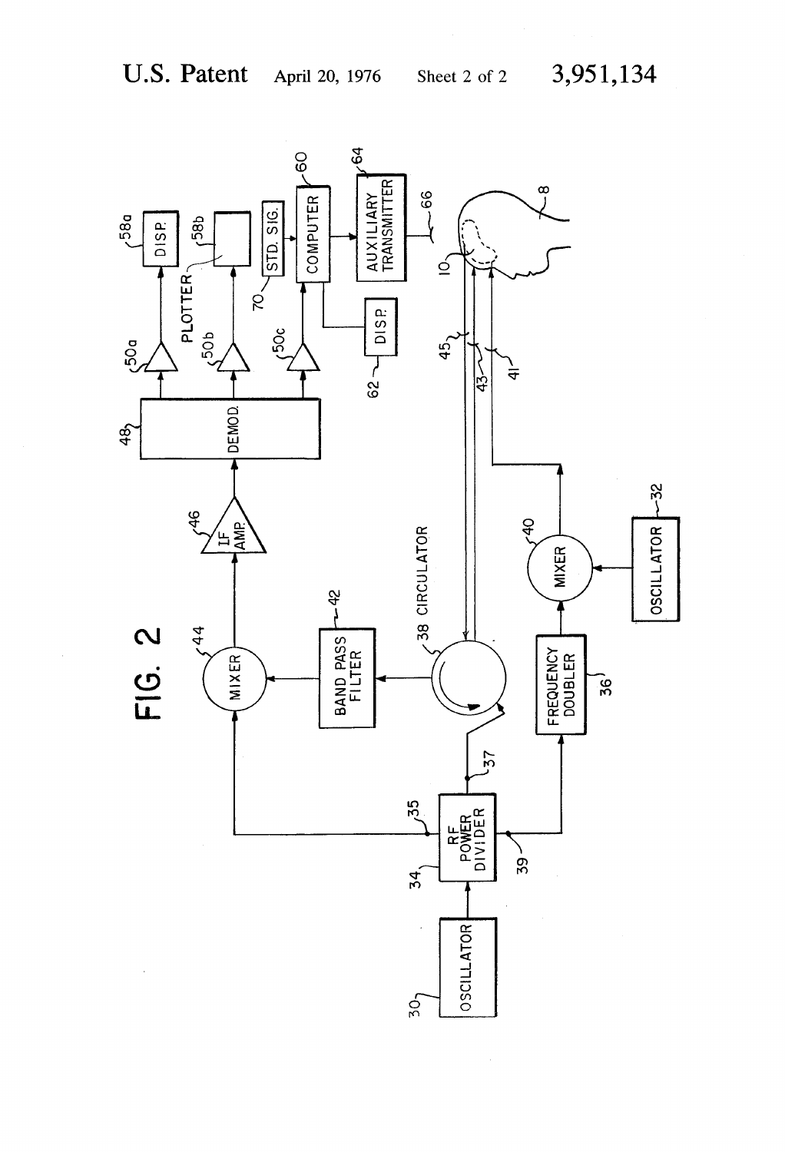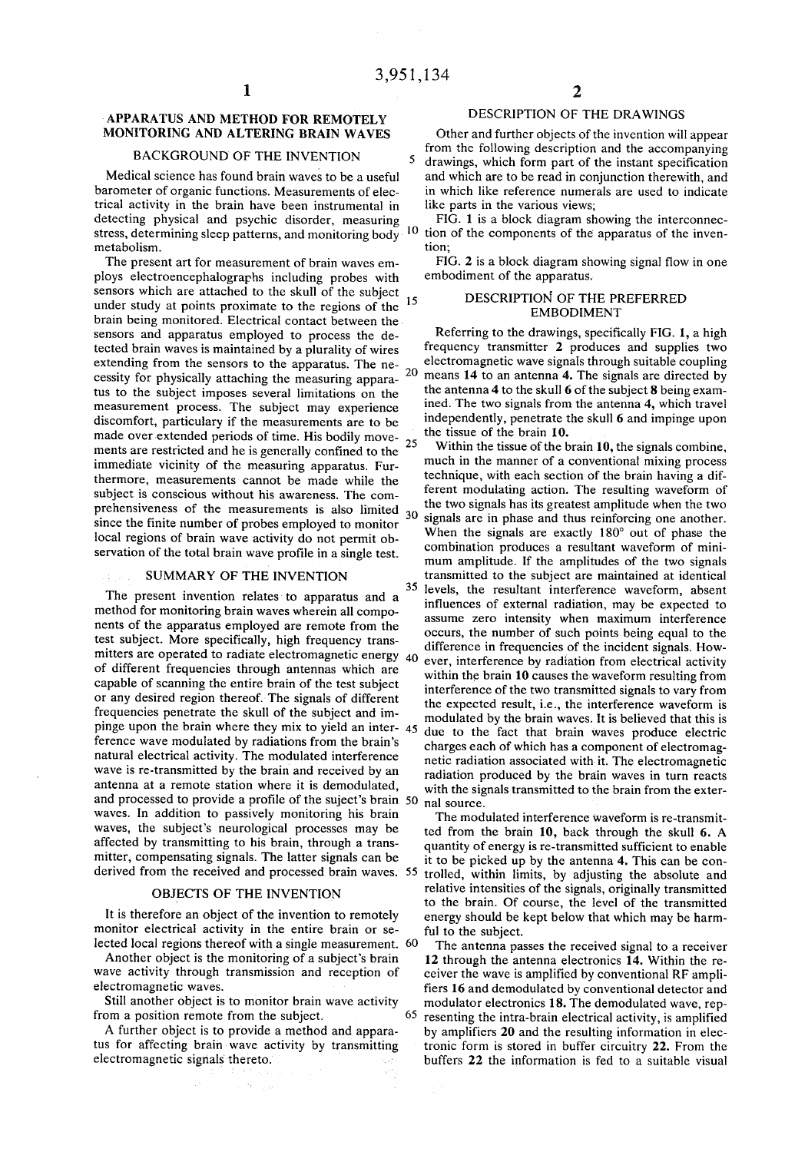5

#### APPARATUS AND METHOD FOR REMOTELY MONITORING AND ALTERING BRAIN WAVES

#### BACKGROUND OF THE INVENTION

Medical science has found brain waves to be a useful trical activity in the brain have been instrumental in detecting physical and psychic disorder, measuring stress, determining sleep patterns, and monitoring body metabolism.

The present art for measurement of brain waves em ploys electroencephalographs including probes with<br>sensors which are attached to the skull of the subject sensors which are attached to the skull of the subject under study at points proximate to the regions of the 15 brain being monitored. Electrical contact between the sensors and apparatus employed to process the de tected brain waves is maintained by a plurality of wires extending from the sensors to the apparatus. The ne cessity for physically attaching the measuring appara tus to the subject imposes several limitations on the measurement process. The subject may experience discomfort, particulary if the measurements are to be made over extended periods of time. His bodily move ments are restricted and he is generally confined to the immediate vicinity of the measuring apparatus. Fur thermore, measurements cannot be made while the subject is conscious without his awareness. The com prehensiveness of the measurements is also limited  $30<sup>2</sup>$ since the finite number of probes employed to monitor local regions of brain wave activity do not permit ob servation of the total brain wave profile in a single test.

#### SUMMARY OF THE INVENTION

The present invention relates to apparatus and a method for monitoring brain waves wherein all compo nents of the apparatus employed are remote from the test subject. More specifically, high frequency trans mitters are operated to radiate electromagnetic energy  $40<sub>1</sub>$ of different frequencies through antennas which are capable of scanning the entire brain of the test subject or any desired region thereof. The signals of different frequencies penetrate the skull of the subject and im pinge upon the brain where they mix to yield an inter- 45 ference wave modulated by radiations from the brain's natural electrical activity. The modulated interference wave is re-transmitted by the brain and received by an antenna at a remote station where it is demodulated, antenna at a remote station where it is demodulated, with the sign and processed to provide a profile of the suject's brain 50 nal source. waves. In addition to passively monitoring his brain waves, the subject's neurological processes may be affected by transmitting to his brain, through a trans mitter, compensating signals. The latter signals can be

#### OBJECTS OF THE INVENTION

It is therefore an object of the invention to remotely monitor electrical activity in the entire brain or se-

lected local regions thereof with a single measurement. 60 Another object is the monitoring of a subject's brain wave activity through transmission and reception of

electromagnetic waves.<br>Still another object is to monitor brain wave activity from a position remote from the subject.

A further object is to provide a method and appara tus for affecting brain wave activity by transmittin electromagnetic signals thereto.

 $\sim \alpha \gtrsim_{10}$ 

# 2

### DESCRIPTION OF THE DRAWINGS

Other and further objects of the invention will appear from the following description and the accompanying drawings, which form part of the instant specification and which are to be read in conjunction therewith, and in which like reference numerals are used to indicate like parts in the various views;

O FIG. 1 is a block diagram showing the interconnec tion of the components of the apparatus of the inven tion;

FIG. 2 is a block diagram showing signal flow in one embodiment of the apparatus.

#### DESCRIPTION OF THE PREFERRED EMBODIMENT

20 means 14 to an antenna 4. The signals are directed by Referring to the drawings, specifically FIG. 1, a high frequency transmitter 2 produces and supplies two electromagnetic wave signals through suitable coupling the antenna 4 to the skull 6 of the subject 8 being examined. The two signals from the antenna 4, which travel independently, penetrate the skull 6 and impinge upon

25 35 levels, the resultant interference waveform, absent the tissue of the brain 10.<br>Within the tissue of the brain 10, the signals combine, much in the manner of a conventional mixing process technique, with each section of the brain having a different modulating action. The resulting waveform of the two signals has its greatest amplitude when the two signals are in phase and thus reinforcing one another. When the signals are exactly 180° out of phase the combination produces a resultant waveform of mini-<br>mum amplitude. If the amplitudes of the two signals transmitted to the subject are maintained at identical influences of external radiation, may be expected to assume zero intensity when maximum interference occurs, the number of such points being equal to the difference in frequencies of the incident signals. However, interference by radiation from electrical activity

within the brain 10 causes the waveform resulting from interference of the two transmitted signals to vary from the expected result, i.e., the interference waveform is modulated by the brain waves. It is believed that this is due to the fact that brain waves produce electric charges each of which has a component of electromagnetic radiation associated with it. The electromagnetic radiation produced by the brain waves in turn reacts with the signals transmitted to the brain from the exter

Intert, compensating signals. The factor signals can be fit to be picked up by the antenna 4. This can be con-<br>derived from the received and processed brain waves. 55 trolled, within limits, by adjusting the absolute and The modulated interference waveform is re-transmit ted from the brain 10, back through the skull 6. A quantity of energy is re-transmitted sufficient to enable<br>it to be picked up by the antenna 4. This can be controlled, within limits, by adjusting the absolute and relative intensities of the signals, originally transmitted to the brain. Of course, the level of the transmitted energy should be kept below that which may be harm ful to the subject.

> 65 resenting the intra-brain electrical activity, is amplified The antenna passes the received signal to a receiver 12 through the antenna electronics 14. Within the receiver the wave is amplified by conventional RF amplifiers 16 and demodulated by conventional detector and<br>modulator electronics 18. The demodulated wave, repby amplifiers 20 and the resulting information in electronic form is stored in buffer circuitry 22. From the buffers 22 the information is fed to a suitable visual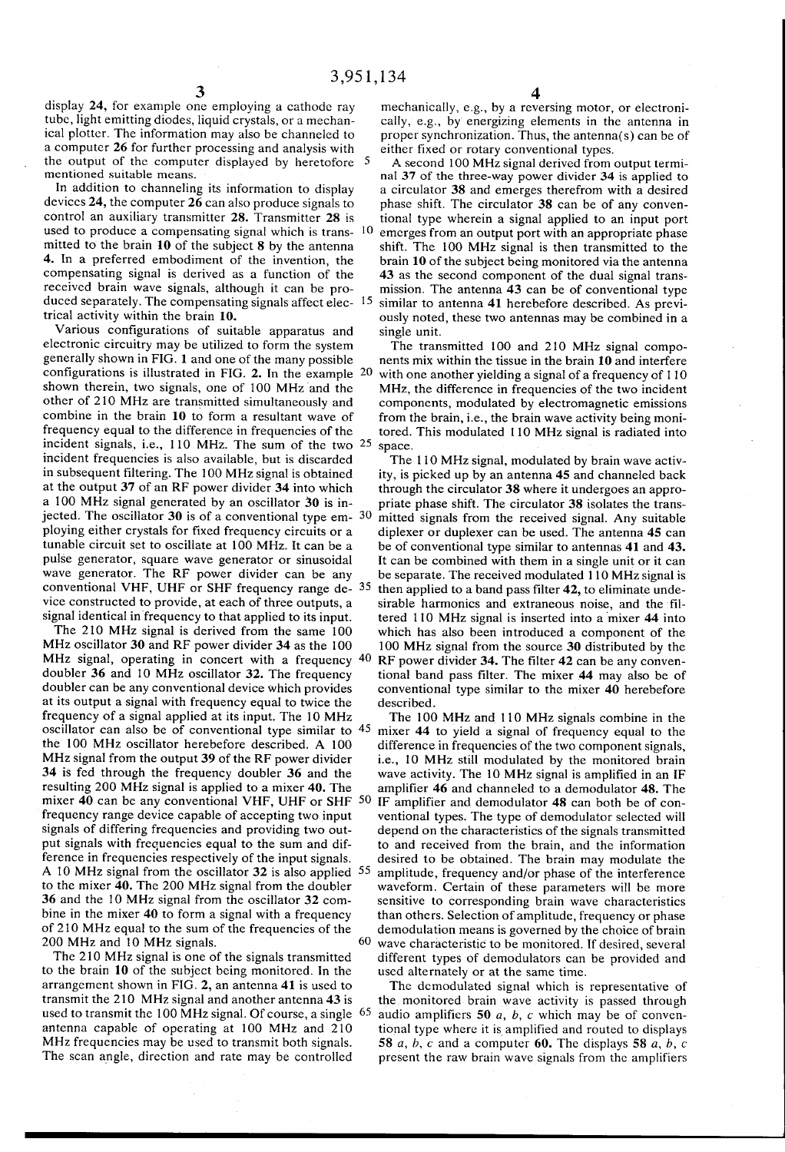$3,951,134$ <br>display 24, for example one employing a cathode ray mech tube, light emitting diodes, liquid crystals, or a mechanical plotter. The information may also be channeled to a computer 26 for further processing and analysis with the output of the computer displayed by heretofore 5 mentioned suitable means.<br>In addition to channeling its information to display

devices  $24$ , the computer  $26$  can also produce signals to control an auxiliary transmitter 28. Transmitter 28 is used to produce a compensating signal which is trans-  $10<sup>-10</sup>$ mitted to the brain 10 of the subject 8 by the antenna 4. In a preferred embodiment of the invention, the compensating signal is derived as a function of the received brain wave signals, although it can be proreceived brain wave signals, although it can be pro-<br>duced separately. The compensating signals affect elec- <sup>15</sup> trical activity within the brain 10.

Various configurations of suitable apparatus and electronic circuitry may be utilized to form the system generally shown in FIG. 1 and one of the many possible configurations is illustrated in FIG. 2. In the example shown therein, two signals, one of  $100$  MHz and the other of 210 MHz are transmitted simultaneously and combine in the brain 10 to form a resultant wave of frequency equal to the difference in frequencies of the incident signals, i.e., 110 MHz. The sum of the two 25 incident frequencies is also available, but is discarded in subsequent filtering. The 100 MHz signal is obtained at the output 37 of an RF power divider 34 into which a 100 MHz signal generated by an oscillator 30 is in jected. The oscillator  $30$  is of a conventional type em- $30$ ploying either crystals for fixed frequency circuits or a tunable circuit set to oscillate at 100 MHz. It can be a pulse generator, square wave generator or sinusoidal wave generator. The RF power divider can be any wave generator. The RF power divider can be any conventional VHF, UHF or SHF frequency range de- 35 vice constructed to provide, at each of three outputs, a signal identical in frequency to that applied to its input. configurations is illustrated in FIG. 2. In the example 20

The 210 MHz signal is derived from the same 100 MHz oscillator 30 and RF power divider 34 as the 100 MHz signal, operating in concert with a frequency 40 doubler  $36$  and 10 MHz oscillator  $32$ . The frequency doubler can be any conventional device which provides at its output a signal with frequency equal to twice the frequency of a signal applied at its input. The 10 MHz oscillator can also be of conventional type similar to 45 the 100 MHz oscillator herebefore described. A 100 MHz signal from the output 39 of the RF power divider 34 is fed through the frequency doubler 36 and the resulting 200 MHz signal is applied to a mixer 40. The mixer 40 can be any conventional VHF, UHF or SHF 50 frequency range device capable of accepting two input signals of differing frequencies and providing two out put signals with frequencies equal to the sum and dif ference in frequencies respectively of the input signals. A 10 MHz signal from the oscillator  $32$  is also applied  $55$ to the mixer 40. The 200 MHz signal from the doubler 36 and the 10 MHz signal from the oscillator 32 combine in the mixer 40 to form a signal with a frequency of 210 MHz equal to the sum of the frequencies of the 200 MHz and 10 MHz signals.

The 210 MHz signal is one of the signals transmitted. to the brain 10 of the subject being monitored. In the arrangement shown in FIG. 2, an antenna 41 is used to transmit the 210 MHz signal and another antenna 43 is used to transmit the 100 MHz signal. Of course, a single 65 antenna capable of operating at 100 MHz and 210 The scan angle, direction and rate may be controlled

mechanically, e.g., by a reversing motor, or electroni cally, e.g., by energizing elements in the antenna in proper synchronization. Thus, the antenna(s) can be of either fixed or rotary conventional types.

A second 100 MHz signal derived from output termi nal 37 of the three-way power divider 34 is applied to a circulator 38 and emerges therefrom with a desired phase shift. The circulator 38 can be of any conven tional type wherein a signal applied to an input port shift. The 100 MHz signal is then transmitted to the brain 10 of the subject being monitored via the antenna 43 as the second component of the dual signal transmission. The antenna 43 can be of conventional type similar to antenna 41 herebefore described. As previously noted, these two antennas may be combined in a single unit.

The transmitted 100 and 210 MHz signal compo nents mix within the tissue in the brain 10 and interfere with one another yielding a signal of a frequency of 110 MHz, the difference in frequencies of the two incident components, modulated by electromagnetic emissions from the brain, i.e., the brain wave activity being moni tored. This modulated 110 MHz signal is radiated into space.

The 110 MHz signal, modulated by brain wave activ ity, is picked up by an antenna 45 and channeled back through the circulator 38 where it undergoes an appro priate phase shift. The circulator 38 isolates the trans mitted signals from the received signal. Any suitable diplexer or duplexer can be used. The antenna 45 can be of conventional type similar to antennas 41 and 43. It can be combined with them in a single unit or it can be separate. The received modulated 110 MHz signal is then applied to a band pass filter 42, to eliminate unde sirable harmonics and extraneous noise, and the fil tered 110 MHz signal is inserted into a mixer 44 into which has also been introduced a component of the 100 MHz signal from the source 30 distributed by the RF power divider 34. The filter 42 can be any conven tional band pass filter. The mixer 44 may also be of conventional type similar to the mixer 40 herebefore described.

60 wave characteristic to be monitored. If desired, several The 100 MHz and 110 MHz signals combine in the mixer 44 to yield a signal of frequency equal to the difference in frequencies of the two component signals, i.e., 10 MHz still modulated by the monitored brain wave activity. The 10 MHz signal is amplified in an IF amplifier 46 and channeled to a demodulator 48. The IF amplifier and demodulator 48 can both be of con ventional types. The type of demodulator selected will depend on the characteristics of the signals transmitted to and received from the brain, and the information desired to be obtained. The brain may modulate the amplitude, frequency and/or phase of the interference waveform. Certain of these parameters will be more sensitive to corresponding brain wave characteristics than others. Selection of amplitude, frequency or phase demodulation means is governed by the choice of brain different types of demodulators can be provided and used alternately or at the same time.

The demodulated signal which is representative of the monitored brain wave activity is passed through audio amplifiers 50  $a$ ,  $b$ ,  $c$  which may be of conventional type where it is amplified and routed to displays 58 a, b, c and a computer 60. The displays 58 a, b, c present the raw brain wave signals from the amplifiers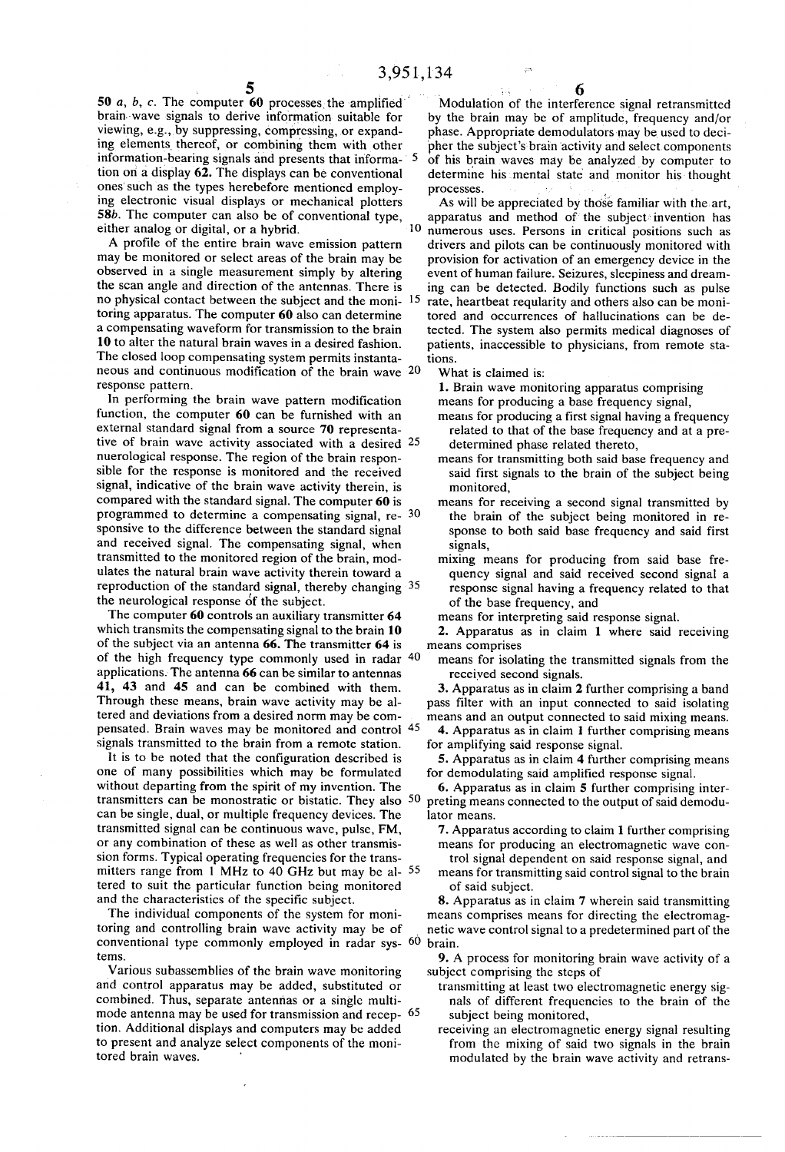$\frac{5}{50}$  a, b, c. The computer 60 processes the amplified Me brain wave signals to derive information suitable for<br>viewing, e.g., by suppressing, compressing, or expand-<br>ing elements thereof, or combining them with other<br>information-bearing signals and presents that information on a display 62. The displays can be conventional ones such as the types herebefore mentioned employing electronic visual displays or mechanical plotters **58b**. The computer can also be of conventional type, either analog or digital, or a hybrid.

A profile of the entire brain wave emission pattern may be monitored or select areas of the brain may be observed in a single measurement simply by altering the scan angle and direction of the antennas. There is no physical contact between the subject and the moni-  $15$ toring apparatus. The computer 60 also can determine a compensating waveform for transmission to the brain 10 to alter the natural brain waves in a desired fashion. The closed loop compensating system permits instanta neous and continuous modification of the brain wave 20 response pattern.

In performing the brain wave pattern modification function, the computer  $60$  can be furnished with an external standard signal from a source  $70$  representaexternal standard signal from a source 70 representative of brain wave activity associated with a desired 25 nuerological response. The region of the brain respon sible for the response is monitored and the received signal, indicative of the brain wave activity therein, is compared with the standard signal. The computer 60 is programmed to determine a compensating signal, re- 30 sponsive to the difference between the standard signal and received signal. The compensating signal, when transmitted to the monitored region of the brain, mod ulates the natural brain wave activity therein toward a the neurological response of the subject. reproduction of the standard signal, thereby changing 35

The computer 60 controls an auxiliary transmitter 64 which transmits the compensating signal to the brain 10 of the subject via an antenna 66. The transmitter 64 is of the high frequency type commonly used in radar 40 applications. The antenna 66 can be similar to antennas 4, 43 and 45 and can be combined with them. Through these means, brain wave activity may be al tered and deviations from a desired norm may be com pensated. Brain waves may be monitored and control 45 signals transmitted to the brain from a remote station.

It is to be noted that the configuration described is one of many possibilities which may be formulated without departing from the spirit of my invention. The transmitters can be monostratic or bistatic. They also 50 can be single, dual, or multiple frequency devices. The transmitted signal can be continuous wave, pulse, FM, or any combination of these as well as other transmis sion forms. Typical operating frequencies for the trans mitters range from 1 MHz to 40 GHz but may be al- $55$ tered to suit the particular function being monitored and the characteristics of the specific subject.

The individual components of the system for monitoring and controlling brain wave activity may be of conventional type commonly employed in radar sys- <sup>ou</sup> brain. tens.

Various subassemblies of the brain wave monitoring and control apparatus may be added, substituted or combined. Thus, separate antennas or a single multi tion. Additional displays and computers may be added to present and analyze select components of the moni tored brain waves. mode antenna may be used for transmission and recep- 65

Modulation of the interference signal retransmitted by the brain may be of amplitude, frequency and/or phase. Appropriate demodulators may be used to decipher the subject's brain activity and select components of his brain waves may be analyzed by computer to determine his mental state and monitor his thought processes. .

O numerous uses. Persons in critical positions such as As will be appreciated by those familiar with the art, apparatus and method of the subject invention has drivers and pilots can be continuously monitored with provision for activation of an emergency device in the event of human failure. Seizures, sleepiness and dream

ing can be detected. Bodily functions such as pulse rate, heartbeat reqularity and others also can be moni tored and occurrences of hallucinations can be de tected. The system also permits medical diagnoses of patients, inaccessible to physicians, from remote sta tions.

What is claimed is:

1. Brain wave monitoring apparatus comprising

- means for producing a base frequency signal,
- means for producing a first signal having a frequency<br>related to that of the base frequency and at a predetermined phase related thereto,
- means for transmitting both said base frequency and said first signals to the brain of the subject being monitored,<br>means for receiving a second signal transmitted by
- the brain of the subject being monitored in response to both said base frequency and said first signals,
- mixing means for producing from said base fre quency signal and said received second signal a response signal having a frequency related to that of the base frequency, and<br>means for interpreting said response signal.

2. Apparatus as in claim 1 where said receiving means comprises

means for isolating the transmitted signals from the received second signals.

3. Apparatus as in claim 2 further comprising a band pass filter with an input connected to said isolating means and an output connected to said mixing means.

4. Apparatus as in claim 1 further comprising means for amplifying said response signal.

5. Apparatus as in claim 4 further comprising means for demodulating said amplified response signal.

6. Apparatus as in claim 5 further comprising inter preting means connected to the output of said demodu lator means.

- 7. Apparatus according to claim 1 further comprising means for producing an electromagnetic wave con trol signal dependent on said response signal, and
- means for transmitting said control signal to the brain of said subject.

8. Apparatus as in claim 7 wherein said transmitting means comprises means for directing the electromagnetic wave control signal to a predetermined part of the

9. A process for monitoring brain wave activity of a subject comprising the steps of

- transmitting at least two electromagnetic energy sig nals of different frequencies to the brain of the subject being monitored,
- receiving an electromagnetic energy signal resulting from the mixing of said two signals in the brain modulated by the brain wave activity and retrans